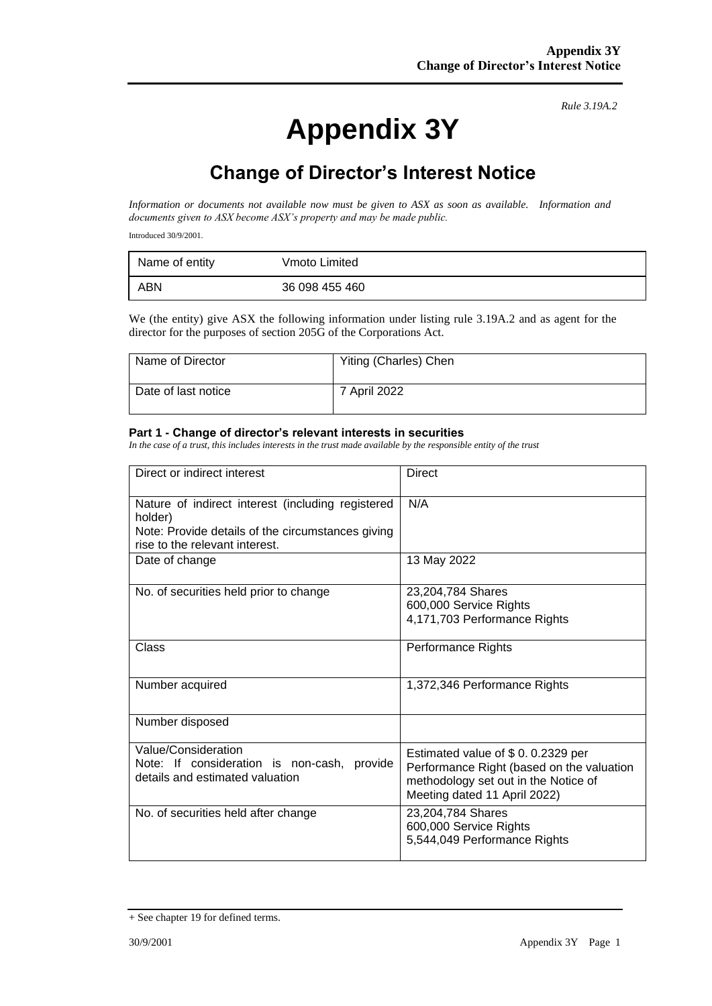# **Appendix 3Y**

*Rule 3.19A.2*

# **Change of Director's Interest Notice**

*Information or documents not available now must be given to ASX as soon as available. Information and documents given to ASX become ASX's property and may be made public.*

Introduced 30/9/2001.

| Name of entity | Vmoto Limited  |
|----------------|----------------|
| ABN            | 36 098 455 460 |

We (the entity) give ASX the following information under listing rule 3.19A.2 and as agent for the director for the purposes of section 205G of the Corporations Act.

| Name of Director    | Yiting (Charles) Chen |
|---------------------|-----------------------|
| Date of last notice | 7 April 2022          |

#### **Part 1 - Change of director's relevant interests in securities**

*In the case of a trust, this includes interests in the trust made available by the responsible entity of the trust*

| Direct or indirect interest                                                                                                                         | <b>Direct</b>                                                                                                                                          |
|-----------------------------------------------------------------------------------------------------------------------------------------------------|--------------------------------------------------------------------------------------------------------------------------------------------------------|
| Nature of indirect interest (including registered<br>holder)<br>Note: Provide details of the circumstances giving<br>rise to the relevant interest. | N/A                                                                                                                                                    |
| Date of change                                                                                                                                      | 13 May 2022                                                                                                                                            |
| No. of securities held prior to change                                                                                                              | 23,204,784 Shares<br>600,000 Service Rights<br>4,171,703 Performance Rights                                                                            |
| Class                                                                                                                                               | Performance Rights                                                                                                                                     |
| Number acquired                                                                                                                                     | 1,372,346 Performance Rights                                                                                                                           |
| Number disposed                                                                                                                                     |                                                                                                                                                        |
| Value/Consideration<br>Note: If consideration is non-cash, provide<br>details and estimated valuation                                               | Estimated value of \$0.0.2329 per<br>Performance Right (based on the valuation<br>methodology set out in the Notice of<br>Meeting dated 11 April 2022) |
| No. of securities held after change                                                                                                                 | 23,204,784 Shares<br>600,000 Service Rights<br>5,544,049 Performance Rights                                                                            |

<sup>+</sup> See chapter 19 for defined terms.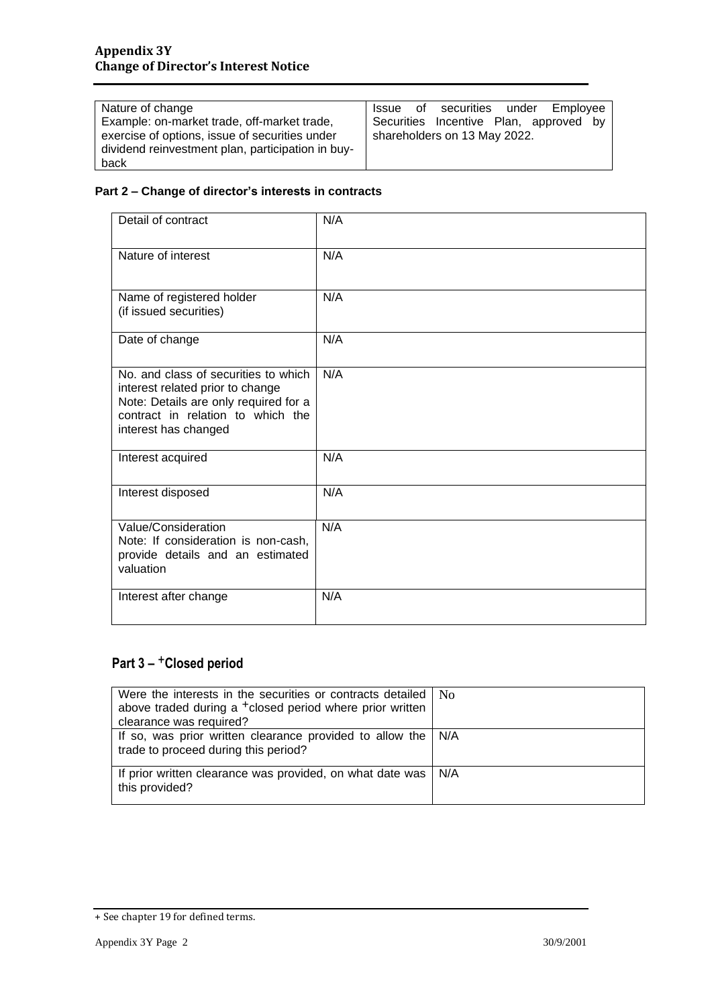| Nature of change                                  | Issue of securities under Employee     |
|---------------------------------------------------|----------------------------------------|
| Example: on-market trade, off-market trade,       | Securities Incentive Plan, approved by |
| exercise of options, issue of securities under    | shareholders on 13 May 2022.           |
| dividend reinvestment plan, participation in buy- |                                        |
| back                                              |                                        |

#### **Part 2 – Change of director's interests in contracts**

| Detail of contract                                                                                                                                                             | N/A |
|--------------------------------------------------------------------------------------------------------------------------------------------------------------------------------|-----|
| Nature of interest                                                                                                                                                             | N/A |
| Name of registered holder<br>(if issued securities)                                                                                                                            | N/A |
| Date of change                                                                                                                                                                 | N/A |
| No. and class of securities to which<br>interest related prior to change<br>Note: Details are only required for a<br>contract in relation to which the<br>interest has changed | N/A |
| Interest acquired                                                                                                                                                              | N/A |
| Interest disposed                                                                                                                                                              | N/A |
| Value/Consideration<br>Note: If consideration is non-cash,<br>provide details and an estimated<br>valuation                                                                    | N/A |
| Interest after change                                                                                                                                                          | N/A |

### **Part 3 –** +**Closed period**

| Were the interests in the securities or contracts detailed $\mid$ N <sub>0</sub><br>above traded during a <sup>+</sup> closed period where prior written |  |
|----------------------------------------------------------------------------------------------------------------------------------------------------------|--|
| clearance was required?                                                                                                                                  |  |
| If so, was prior written clearance provided to allow the $\vert$ N/A<br>trade to proceed during this period?                                             |  |
| If prior written clearance was provided, on what date was   N/A<br>this provided?                                                                        |  |

<sup>+</sup> See chapter 19 for defined terms.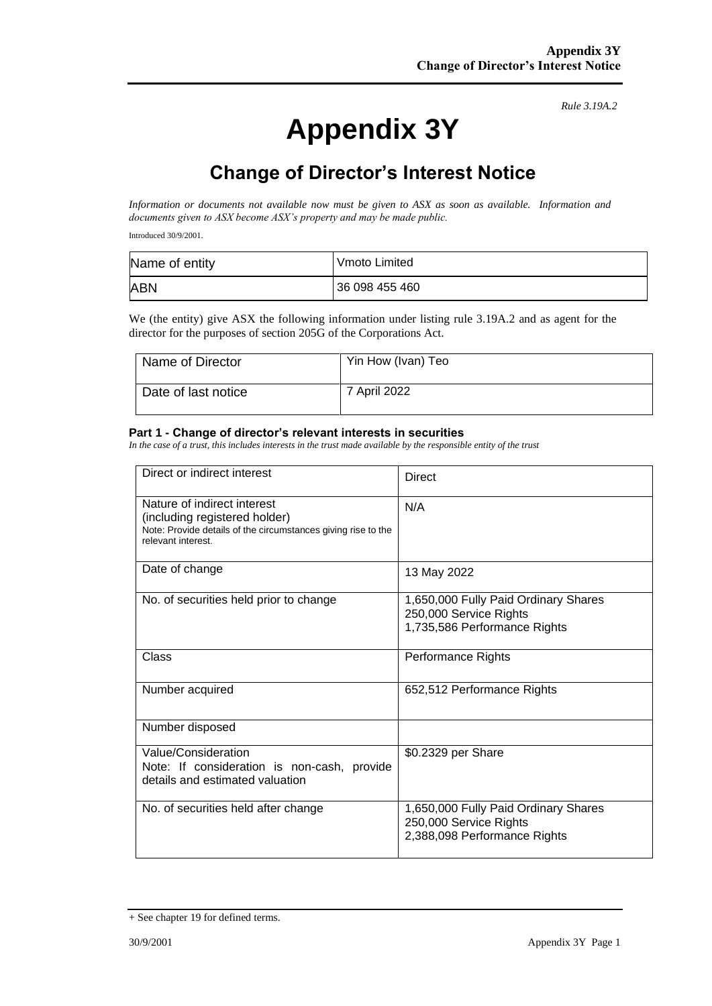# **Appendix 3Y**

*Rule 3.19A.2*

# **Change of Director's Interest Notice**

*Information or documents not available now must be given to ASX as soon as available. Information and documents given to ASX become ASX's property and may be made public.*

Introduced 30/9/2001.

| Name of entity | Vmoto Limited  |
|----------------|----------------|
| <b>ABN</b>     | 36 098 455 460 |

We (the entity) give ASX the following information under listing rule 3.19A.2 and as agent for the director for the purposes of section 205G of the Corporations Act.

| Name of Director    | Yin How (Ivan) Teo |
|---------------------|--------------------|
| Date of last notice | 7 April 2022       |

#### **Part 1 - Change of director's relevant interests in securities**

*In the case of a trust, this includes interests in the trust made available by the responsible entity of the trust*

| Direct or indirect interest                                                                                                                         | Direct                                                                                         |
|-----------------------------------------------------------------------------------------------------------------------------------------------------|------------------------------------------------------------------------------------------------|
| Nature of indirect interest<br>(including registered holder)<br>Note: Provide details of the circumstances giving rise to the<br>relevant interest. | N/A                                                                                            |
| Date of change                                                                                                                                      | 13 May 2022                                                                                    |
| No. of securities held prior to change                                                                                                              | 1,650,000 Fully Paid Ordinary Shares<br>250,000 Service Rights<br>1,735,586 Performance Rights |
| Class                                                                                                                                               | Performance Rights                                                                             |
| Number acquired                                                                                                                                     | 652,512 Performance Rights                                                                     |
| Number disposed                                                                                                                                     |                                                                                                |
| Value/Consideration<br>Note: If consideration is non-cash, provide<br>details and estimated valuation                                               | \$0.2329 per Share                                                                             |
| No. of securities held after change                                                                                                                 | 1,650,000 Fully Paid Ordinary Shares<br>250,000 Service Rights<br>2,388,098 Performance Rights |

<sup>+</sup> See chapter 19 for defined terms.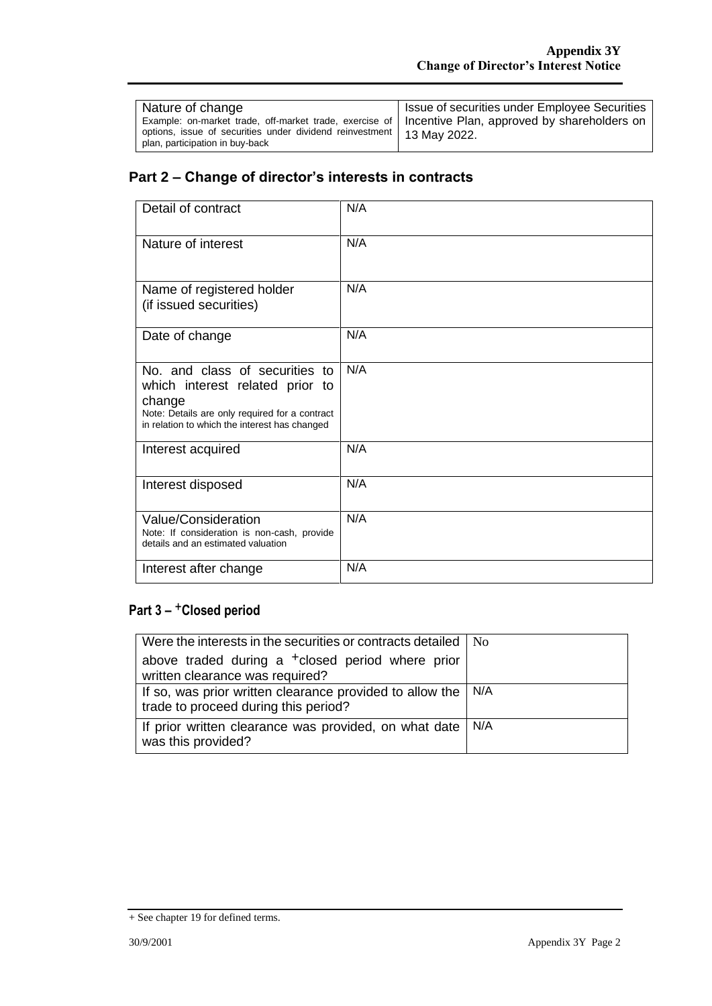| Nature of change<br>Example: on-market trade, off-market trade, exercise of   Incentive Plan, approved by shareholders on<br>options, issue of securities under dividend reinvestment   13 May 2022. | Issue of securities under Employee Securities |
|------------------------------------------------------------------------------------------------------------------------------------------------------------------------------------------------------|-----------------------------------------------|
| plan, participation in buy-back                                                                                                                                                                      |                                               |

### **Part 2 – Change of director's interests in contracts**

| Detail of contract                                                                                                                                                             | N/A |
|--------------------------------------------------------------------------------------------------------------------------------------------------------------------------------|-----|
| Nature of interest                                                                                                                                                             | N/A |
| Name of registered holder<br>(if issued securities)                                                                                                                            | N/A |
| Date of change                                                                                                                                                                 | N/A |
| No. and class of securities to<br>which interest related prior to<br>change<br>Note: Details are only required for a contract<br>in relation to which the interest has changed | N/A |
| Interest acquired                                                                                                                                                              | N/A |
| Interest disposed                                                                                                                                                              | N/A |
| Value/Consideration<br>Note: If consideration is non-cash, provide<br>details and an estimated valuation                                                                       | N/A |
| Interest after change                                                                                                                                                          | N/A |

### **Part 3 –** +**Closed period**

| Were the interests in the securities or contracts detailed   No                                  |       |
|--------------------------------------------------------------------------------------------------|-------|
| above traded during a <sup>+</sup> closed period where prior<br>written clearance was required?  |       |
| If so, was prior written clearance provided to allow the<br>trade to proceed during this period? | l N/A |
| If prior written clearance was provided, on what date<br>was this provided?                      | N/A   |

<sup>+</sup> See chapter 19 for defined terms.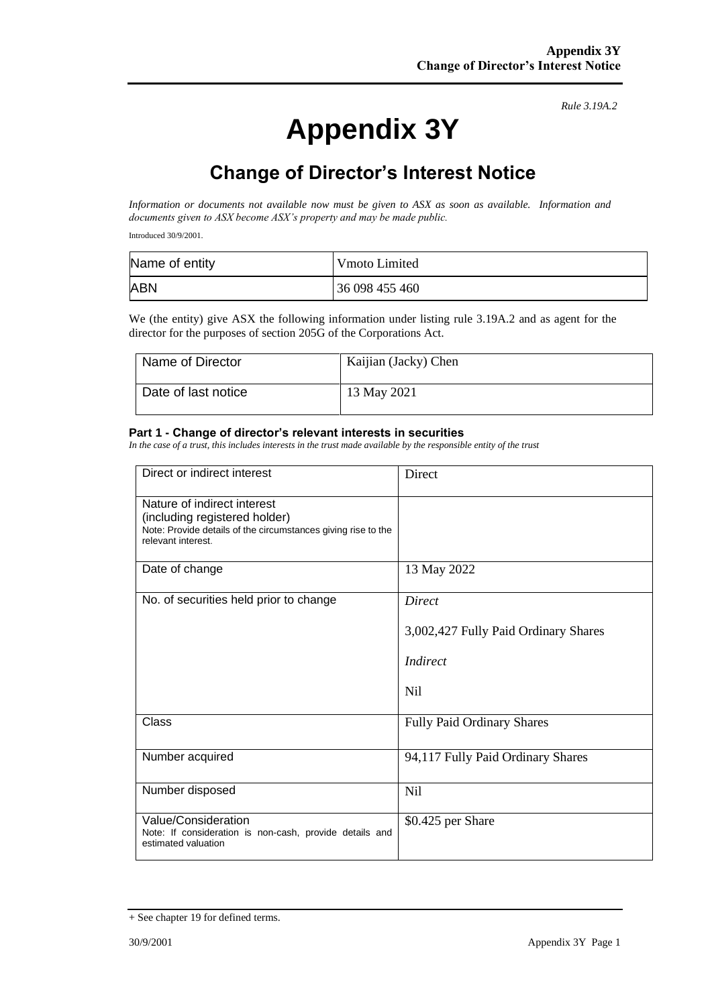# **Appendix 3Y**

*Rule 3.19A.2*

## **Change of Director's Interest Notice**

*Information or documents not available now must be given to ASX as soon as available. Information and documents given to ASX become ASX's property and may be made public.*

Introduced 30/9/2001.

| Name of entity | Vmoto Limited  |
|----------------|----------------|
| <b>ABN</b>     | 36 098 455 460 |

We (the entity) give ASX the following information under listing rule 3.19A.2 and as agent for the director for the purposes of section 205G of the Corporations Act.

| Name of Director    | Kaijian (Jacky) Chen |
|---------------------|----------------------|
| Date of last notice | 13 May 2021          |

#### **Part 1 - Change of director's relevant interests in securities**

*In the case of a trust, this includes interests in the trust made available by the responsible entity of the trust*

| Direct or indirect interest                                                                                                                         | Direct                                                            |
|-----------------------------------------------------------------------------------------------------------------------------------------------------|-------------------------------------------------------------------|
| Nature of indirect interest<br>(including registered holder)<br>Note: Provide details of the circumstances giving rise to the<br>relevant interest. |                                                                   |
| Date of change                                                                                                                                      | 13 May 2022                                                       |
| No. of securities held prior to change                                                                                                              | Direct<br>3,002,427 Fully Paid Ordinary Shares<br>Indirect<br>Nil |
| Class                                                                                                                                               | <b>Fully Paid Ordinary Shares</b>                                 |
| Number acquired                                                                                                                                     | 94,117 Fully Paid Ordinary Shares                                 |
| Number disposed                                                                                                                                     | Nil                                                               |
| Value/Consideration<br>Note: If consideration is non-cash, provide details and<br>estimated valuation                                               | \$0.425 per Share                                                 |

<sup>+</sup> See chapter 19 for defined terms.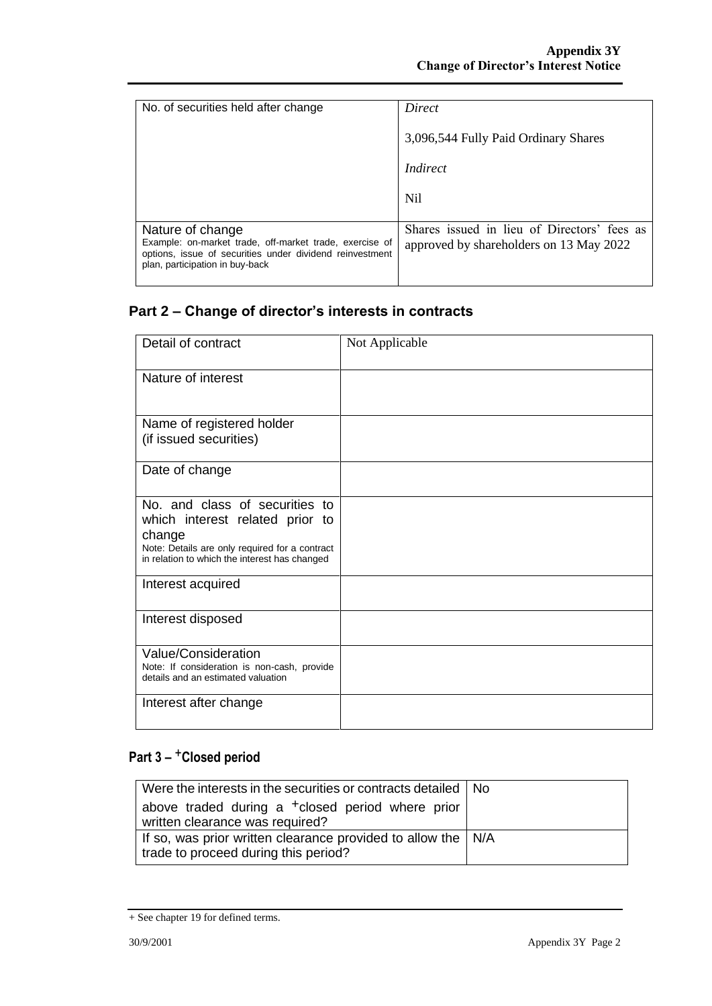| No. of securities held after change                                                                                                                                        | Direct                                                                                 |
|----------------------------------------------------------------------------------------------------------------------------------------------------------------------------|----------------------------------------------------------------------------------------|
|                                                                                                                                                                            | 3,096,544 Fully Paid Ordinary Shares                                                   |
|                                                                                                                                                                            | Indirect                                                                               |
|                                                                                                                                                                            | Nil                                                                                    |
| Nature of change<br>Example: on-market trade, off-market trade, exercise of<br>options, issue of securities under dividend reinvestment<br>plan, participation in buy-back | Shares issued in lieu of Directors' fees as<br>approved by shareholders on 13 May 2022 |

## **Part 2 – Change of director's interests in contracts**

| Detail of contract                                                                              | Not Applicable |
|-------------------------------------------------------------------------------------------------|----------------|
|                                                                                                 |                |
| Nature of interest                                                                              |                |
|                                                                                                 |                |
| Name of registered holder                                                                       |                |
| (if issued securities)                                                                          |                |
| Date of change                                                                                  |                |
| No. and class of securities to                                                                  |                |
| which interest related prior to<br>change                                                       |                |
| Note: Details are only required for a contract<br>in relation to which the interest has changed |                |
| Interest acquired                                                                               |                |
| Interest disposed                                                                               |                |
| Value/Consideration                                                                             |                |
| Note: If consideration is non-cash, provide<br>details and an estimated valuation               |                |
| Interest after change                                                                           |                |
|                                                                                                 |                |

### **Part 3 –** +**Closed period**

| Were the interests in the securities or contracts detailed   No                                              |  |
|--------------------------------------------------------------------------------------------------------------|--|
| above traded during a <sup>+</sup> closed period where prior<br>written clearance was required?              |  |
| If so, was prior written clearance provided to allow the $\vert$ N/A<br>trade to proceed during this period? |  |

<sup>+</sup> See chapter 19 for defined terms.